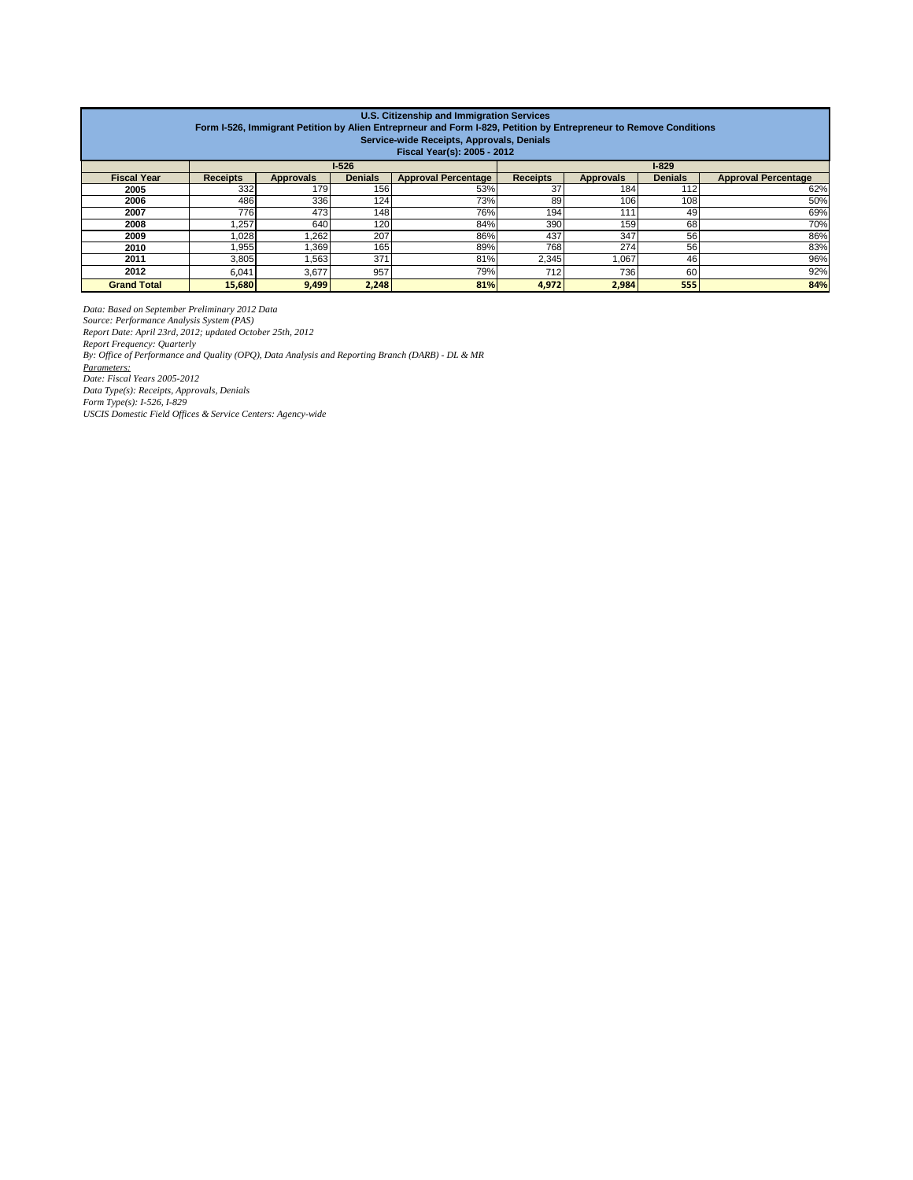| U.S. Citizenship and Immigration Services<br>Form I-526, Immigrant Petition by Alien Entreprneur and Form I-829, Petition by Entrepreneur to Remove Conditions<br>Service-wide Receipts, Approvals, Denials<br>Fiscal Year(s): 2005 - 2012 |                 |                  |                |                            |                 |                  |                |                            |
|--------------------------------------------------------------------------------------------------------------------------------------------------------------------------------------------------------------------------------------------|-----------------|------------------|----------------|----------------------------|-----------------|------------------|----------------|----------------------------|
|                                                                                                                                                                                                                                            | $1-526$         |                  |                | $1 - 829$                  |                 |                  |                |                            |
| <b>Fiscal Year</b>                                                                                                                                                                                                                         | <b>Receipts</b> | <b>Approvals</b> | <b>Denials</b> | <b>Approval Percentage</b> | <b>Receipts</b> | <b>Approvals</b> | <b>Denials</b> | <b>Approval Percentage</b> |
| 2005                                                                                                                                                                                                                                       | 332             | 179              | 156            | 53%                        | 37              | 184              | 112            | 62%                        |
| 2006                                                                                                                                                                                                                                       | 486             | 336              | 124            | 73%                        | 89              | 106              | 108            | 50%                        |
| 2007                                                                                                                                                                                                                                       | 776             | 473              | 148            | 76%                        | 194             | 111              | 49             | 69%                        |
| 2008                                                                                                                                                                                                                                       | ,257            | 640              | 120            | 84%                        | 390             | 159              | 68             | 70%                        |
| 2009                                                                                                                                                                                                                                       | 1,028           | 1.262            | 207            | 86%                        | 437             | 347              | 56             | 86%                        |
| 2010                                                                                                                                                                                                                                       | .955            | .369             | 165            | 89%                        | 768             | 274              | 56             | 83%                        |
| 2011                                                                                                                                                                                                                                       | 3,805           | .563             | 371            | 81%                        | 2,345           | 1,067            | 46             | 96%                        |
| 2012                                                                                                                                                                                                                                       | 6,041           | 3,677            | 957            | 79%                        | 712             | 736              | 60             | 92%                        |
| <b>Grand Total</b>                                                                                                                                                                                                                         | 15,680          | 9,499            | 2,248          | 81%                        | 4,972           | 2,984            | 555            | 84%                        |

Data: Based on September Preliminary 2012 Data<br>Source: Performance Analysis System (PAS)<br>Report Date: April 23rd, 2012; updated October 25th, 2012<br>Report Frequency: Quarterly<br>By: Office of Performance and Quality (OPQ), Da *Parameters: Date: Fiscal Years 2005-2012 Data Type(s): Receipts, Approvals, Denials Form Type(s): I-526, I-829 USCIS Domestic Field Offices & Service Centers: Agency-wide*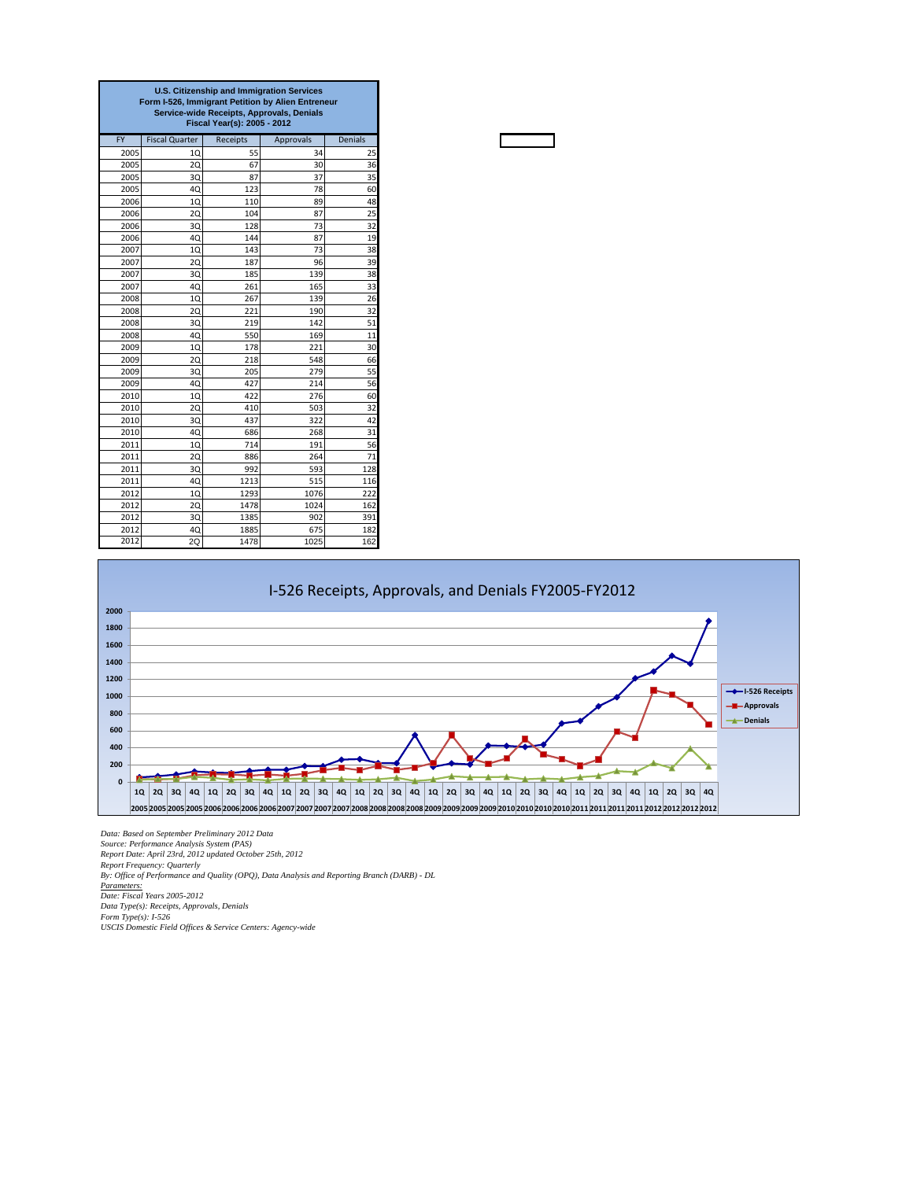| <b>U.S. Citizenship and Immigration Services</b><br>Form I-526, Immigrant Petition by Alien Entreneur<br>Service-wide Receipts, Approvals, Denials<br>Fiscal Year(s): 2005 - 2012 |                       |          |                  |                |  |
|-----------------------------------------------------------------------------------------------------------------------------------------------------------------------------------|-----------------------|----------|------------------|----------------|--|
| <b>FY</b>                                                                                                                                                                         | <b>Fiscal Quarter</b> | Receipts | <b>Approvals</b> | <b>Denials</b> |  |
| 2005                                                                                                                                                                              | 10                    | 55       | 34               | 25             |  |
| 2005                                                                                                                                                                              | <b>2Q</b>             | 67       | 30               | 36             |  |
| 2005                                                                                                                                                                              | 3Q                    | 87       | 37               | 35             |  |
| 2005                                                                                                                                                                              | 4Q                    | 123      | 78               | 60             |  |
| 2006                                                                                                                                                                              | 1Q                    | 110      | 89               | 48             |  |
| 2006                                                                                                                                                                              | 2Q                    | 104      | 87               | 25             |  |
| 2006                                                                                                                                                                              | 3Q                    | 128      | 73               | 32             |  |
| 2006                                                                                                                                                                              | 40                    | 144      | 87               | 19             |  |
| 2007                                                                                                                                                                              | 10                    | 143      | 73               | 38             |  |
| 2007                                                                                                                                                                              | 20                    | 187      | 96               | 39             |  |
| 2007                                                                                                                                                                              | 30                    | 185      | 139              | 38             |  |
| 2007                                                                                                                                                                              | 40                    | 261      | 165              | 33             |  |
| 2008                                                                                                                                                                              | 10                    | 267      | 139              | 26             |  |
| 2008                                                                                                                                                                              | 2Q                    | 221      | 190              | 32             |  |
| 2008                                                                                                                                                                              | 3Q                    | 219      | 142              | 51             |  |
| 2008                                                                                                                                                                              | 4Q                    | 550      | 169              | 11             |  |
| 2009                                                                                                                                                                              | 1Q                    | 178      | 221              | 30             |  |
| 2009                                                                                                                                                                              | 20                    | 218      | 548              | 66             |  |
| 2009                                                                                                                                                                              | 3Q                    | 205      | 279              | 55             |  |
| 2009                                                                                                                                                                              | 4Q                    | 427      | 214              | 56             |  |
| 2010                                                                                                                                                                              | 10                    | 422      | 276              | 60             |  |
| 2010                                                                                                                                                                              | 2Q                    | 410      | 503              | 32             |  |
| 2010                                                                                                                                                                              | 3Q                    | 437      | 322              | 42             |  |
| 2010                                                                                                                                                                              | 4Q                    | 686      | 268              | 31             |  |
| 2011                                                                                                                                                                              | 10                    | 714      | 191              | 56             |  |
| 2011                                                                                                                                                                              | 20                    | 886      | 264              | 71             |  |
| 2011                                                                                                                                                                              | 3Q                    | 992      | 593              | 128            |  |
| 2011                                                                                                                                                                              | 4Q                    | 1213     | 515              | 116            |  |
| 2012                                                                                                                                                                              | 10                    | 1293     | 1076             | 222            |  |
| 2012                                                                                                                                                                              | 20                    | 1478     | 1024             | 162            |  |
| 2012                                                                                                                                                                              | 30                    | 1385     | 902              | 391            |  |
| 2012                                                                                                                                                                              | 4Q                    | 1885     | 675              | 182            |  |
| 2012                                                                                                                                                                              | 2Q                    | 1478     | 1025             | 162            |  |



*Data: Based on September Preliminary 2012 Data* Source: Performance Analysis System (PAS)<br>Report Date: April 23rd, 2012 updated October 25th, 2012<br>Report Frequency: Quarterly<br>By: Office of Performance and Quality (OPQ), Data Analysis and Reporting Branch (DARB) - DL *Parameters: Date: Fiscal Years 2005-2012 Data Type(s): Receipts, Approvals, Denials Form Type(s): I-526 USCIS Domestic Field Offices & Service Centers: Agency-wide*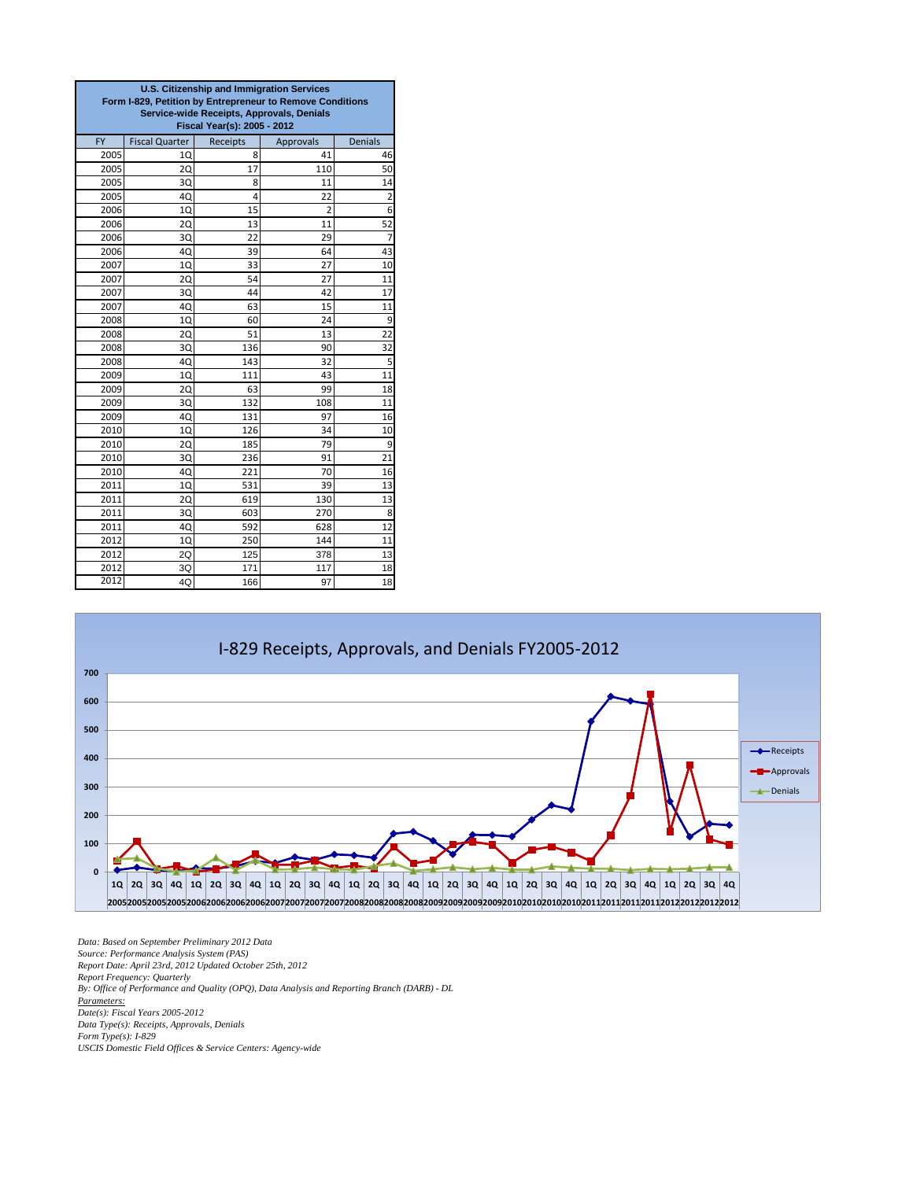| U.S. Citizenship and Immigration Services<br>Form I-829, Petition by Entrepreneur to Remove Conditions<br>Service-wide Receipts, Approvals, Denials<br>Fiscal Year(s): 2005 - 2012 |                       |          |                |                |  |
|------------------------------------------------------------------------------------------------------------------------------------------------------------------------------------|-----------------------|----------|----------------|----------------|--|
| <b>FY</b>                                                                                                                                                                          | <b>Fiscal Quarter</b> | Receipts | Approvals      | <b>Denials</b> |  |
| 2005                                                                                                                                                                               | 10                    | 8        | 41             | 46             |  |
| 2005                                                                                                                                                                               | 20                    | 17       | 110            | 50             |  |
| 2005                                                                                                                                                                               | 3Q                    | 8        | 11             | 14             |  |
| 2005                                                                                                                                                                               | 40                    | 4        | 22             | $\overline{2}$ |  |
| 2006                                                                                                                                                                               | 10                    | 15       | $\overline{2}$ | 6              |  |
| 2006                                                                                                                                                                               | 20                    | 13       | 11             | 52             |  |
| 2006                                                                                                                                                                               | 3Q                    | 22       | 29             | 7              |  |
| 2006                                                                                                                                                                               | 4Q                    | 39       | 64             | 43             |  |
| 2007                                                                                                                                                                               | 1Q                    | 33       | 27             | 10             |  |
| 2007                                                                                                                                                                               | 2Q                    | 54       | 27             | 11             |  |
| 2007                                                                                                                                                                               | 3Q                    | 44       | 42             | 17             |  |
| 2007                                                                                                                                                                               | 4Q                    | 63       | 15             | 11             |  |
| 2008                                                                                                                                                                               | 1Q                    | 60       | 24             | 9              |  |
| 2008                                                                                                                                                                               | 20                    | 51       | 13             | 22             |  |
| 2008                                                                                                                                                                               | 3Q                    | 136      | 90             | 32             |  |
| 2008                                                                                                                                                                               | 40                    | 143      | 32             | 5              |  |
| 2009                                                                                                                                                                               | 1Q                    | 111      | 43             | 11             |  |
| 2009                                                                                                                                                                               | <b>2Q</b>             | 63       | 99             | 18             |  |
| 2009                                                                                                                                                                               | 3Q                    | 132      | 108            | 11             |  |
| 2009                                                                                                                                                                               | 4Q                    | 131      | 97             | 16             |  |
| 2010                                                                                                                                                                               | 1Q                    | 126      | 34             | 10             |  |
| 2010                                                                                                                                                                               | <b>2Q</b>             | 185      | 79             | 9              |  |
| 2010                                                                                                                                                                               | 3Q                    | 236      | 91             | 21             |  |
| 2010                                                                                                                                                                               | 4Q                    | 221      | 70             | 16             |  |
| 2011                                                                                                                                                                               | 1Q                    | 531      | 39             | 13             |  |
| 2011                                                                                                                                                                               | 20                    | 619      | 130            | 13             |  |
| 2011                                                                                                                                                                               | 3Q                    | 603      | 270            | 8              |  |
| 2011                                                                                                                                                                               | 4Q                    | 592      | 628            | 12             |  |
| 2012                                                                                                                                                                               | 10                    | 250      | 144            | 11             |  |
| 2012                                                                                                                                                                               | 2Q                    | 125      | 378            | 13             |  |
| 2012                                                                                                                                                                               | 3Q                    | 171      | 117            | 18             |  |
| 2012                                                                                                                                                                               | 4Q                    | 166      | 97             | 18             |  |



*Data: Based on September Preliminary 2012 Data Source: Performance Analysis System (PAS) Report Date: April 23rd, 2012 Updated October 25th, 2012 Report Frequency: Quarterly By: Office of Performance and Quality (OPQ), Data Analysis and Reporting Branch (DARB) - DL Parameters: Date(s): Fiscal Years 2005-2012 Data Type(s): Receipts, Approvals, Denials Form Type(s): I-829 USCIS Domestic Field Offices & Service Centers: Agency-wide*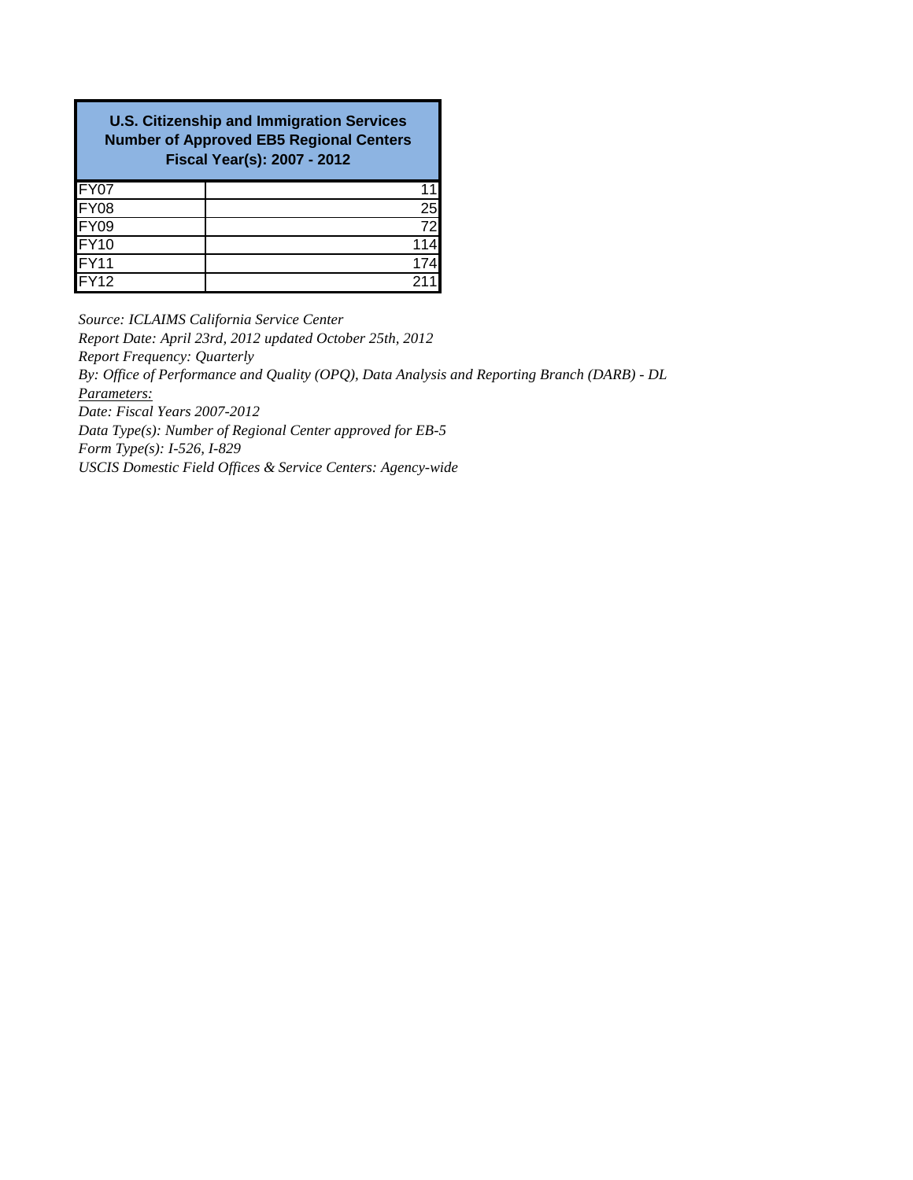| <b>U.S. Citizenship and Immigration Services</b><br><b>Number of Approved EB5 Regional Centers</b><br><b>Fiscal Year(s): 2007 - 2012</b> |                 |  |  |  |  |
|------------------------------------------------------------------------------------------------------------------------------------------|-----------------|--|--|--|--|
| FY07                                                                                                                                     |                 |  |  |  |  |
| FY08                                                                                                                                     | 25              |  |  |  |  |
| <b>FY09</b>                                                                                                                              | $\overline{72}$ |  |  |  |  |
| FY <sub>10</sub>                                                                                                                         |                 |  |  |  |  |
| FY11                                                                                                                                     |                 |  |  |  |  |
| IFY12                                                                                                                                    |                 |  |  |  |  |

*Source: ICLAIMS California Service Center Report Date: April 23rd, 2012 updated October 25th, 2012 Report Frequency: Quarterly Parameters: Date: Fiscal Years 2007-2012 Data Type(s): Number of Regional Center approved for EB-5 Form Type(s): I-526, I-829 USCIS Domestic Field Offices & Service Centers: Agency-wide By: Office of Performance and Quality (OPQ), Data Analysis and Reporting Branch (DARB) - DL*